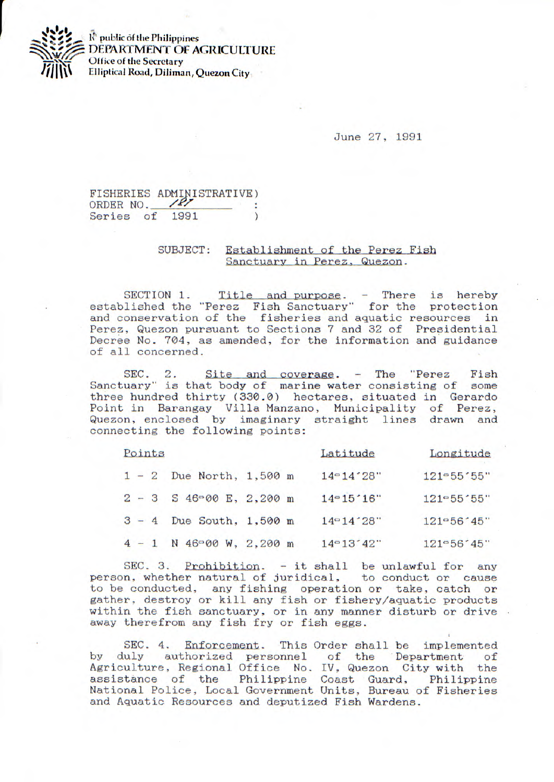

%h public Of the **Philippines**  DEPARTMENT OF AGRICULTURE **Office of the Secretary Elliptical Road, Diliman, Quezon City** 

June 27, 1991

FISHERIES ADMINISTRATIVE) ORDER NO Series of  $\mathcal{E}$ 

## SUBJECT: Establishment of the Perez Fish Sanctuary in Perez, Quezon.

SECTION 1. Title and purpose. - There is hereby established the "Perez Fish Sanctuary" for the protection and conservation of the fisheries and aquatic resources in Perez, Quezon pursuant to Sections 7 and 32 of Presidential Decree No. 704, as amended, for the information and guidance of all concerned.

SEC. 2. Site and coverage. - The "Perez Fish Sanctuary" is that body of marine water consisting of some three hundred thirty (330.0) hectares, situated in Gerardo Point in Barangay Villa Manzano, Municipality of Perez, Quezon, enclosed by imaginary straight lines drawn and connecting the following points:

| Points |  |  |                                      |  | Latitude  | Longitude  |
|--------|--|--|--------------------------------------|--|-----------|------------|
|        |  |  | $1 - 2$ Due North, 1,500 m           |  | 14°14'28" | 121-55-55" |
|        |  |  | $2 - 3$ S 46 $\degree$ 00 E, 2,200 m |  | 14°15'16" | 121°55'55" |
|        |  |  | $3 - 4$ Due South, 1,500 m           |  | 14°14'28" | 121°56'45" |
|        |  |  | $4 - 1$ N 46-00 W, 2,200 m           |  | 14°13'42" | 121°56'45" |

SEC. 3. Prohibition. - it shall be unlawful for any person, whether natural of juridical, to conduct or cause to he conducted, any fishing operation or take, catch or gather, destroy or kill any fish or fishery/aquatic products within the fish sanctuary, or in any manner disturb or drive away therefrom any fish fry or fish eggs.

SEC. 4. Enforcement. This Order shall be implemented by duly authorized personnel of the Department of Agriculture, Regional Office No. IV, Quezon City with the assistance of the Philippine Coast Guard, Philippine National Police, Local Government Units, Bureau of Fisheries and Aquatic Resources and deputized Fish Wardens.